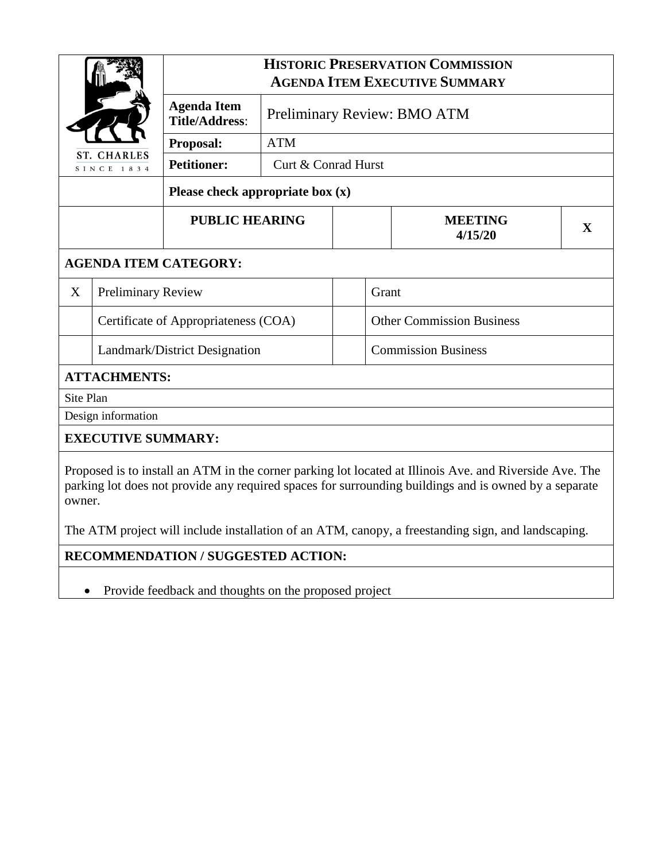|                                                                                                                                                                                                                            |                           | <b>HISTORIC PRESERVATION COMMISSION</b><br><b>AGENDA ITEM EXECUTIVE SUMMARY</b> |                             |  |                                  |   |  |  |  |
|----------------------------------------------------------------------------------------------------------------------------------------------------------------------------------------------------------------------------|---------------------------|---------------------------------------------------------------------------------|-----------------------------|--|----------------------------------|---|--|--|--|
|                                                                                                                                                                                                                            |                           | <b>Agenda Item</b><br><b>Title/Address:</b>                                     | Preliminary Review: BMO ATM |  |                                  |   |  |  |  |
|                                                                                                                                                                                                                            |                           | <b>Proposal:</b>                                                                | <b>ATM</b>                  |  |                                  |   |  |  |  |
| <b>ST. CHARLES</b><br>SINCE 1834                                                                                                                                                                                           |                           | <b>Petitioner:</b>                                                              | Curt & Conrad Hurst         |  |                                  |   |  |  |  |
|                                                                                                                                                                                                                            |                           | Please check appropriate box $(x)$                                              |                             |  |                                  |   |  |  |  |
|                                                                                                                                                                                                                            |                           | <b>PUBLIC HEARING</b>                                                           |                             |  | <b>MEETING</b><br>4/15/20        | X |  |  |  |
| <b>AGENDA ITEM CATEGORY:</b>                                                                                                                                                                                               |                           |                                                                                 |                             |  |                                  |   |  |  |  |
| X                                                                                                                                                                                                                          | <b>Preliminary Review</b> |                                                                                 |                             |  | Grant                            |   |  |  |  |
| Certificate of Appropriateness (COA)                                                                                                                                                                                       |                           |                                                                                 |                             |  | <b>Other Commission Business</b> |   |  |  |  |
| Landmark/District Designation                                                                                                                                                                                              |                           |                                                                                 |                             |  | <b>Commission Business</b>       |   |  |  |  |
| <b>ATTACHMENTS:</b>                                                                                                                                                                                                        |                           |                                                                                 |                             |  |                                  |   |  |  |  |
| Site Plan                                                                                                                                                                                                                  |                           |                                                                                 |                             |  |                                  |   |  |  |  |
| Design information                                                                                                                                                                                                         |                           |                                                                                 |                             |  |                                  |   |  |  |  |
| <b>EXECUTIVE SUMMARY:</b>                                                                                                                                                                                                  |                           |                                                                                 |                             |  |                                  |   |  |  |  |
| Proposed is to install an ATM in the corner parking lot located at Illinois Ave. and Riverside Ave. The<br>parking lot does not provide any required spaces for surrounding buildings and is owned by a separate<br>owner. |                           |                                                                                 |                             |  |                                  |   |  |  |  |

The ATM project will include installation of an ATM, canopy, a freestanding sign, and landscaping.

**RECOMMENDATION / SUGGESTED ACTION:**

• Provide feedback and thoughts on the proposed project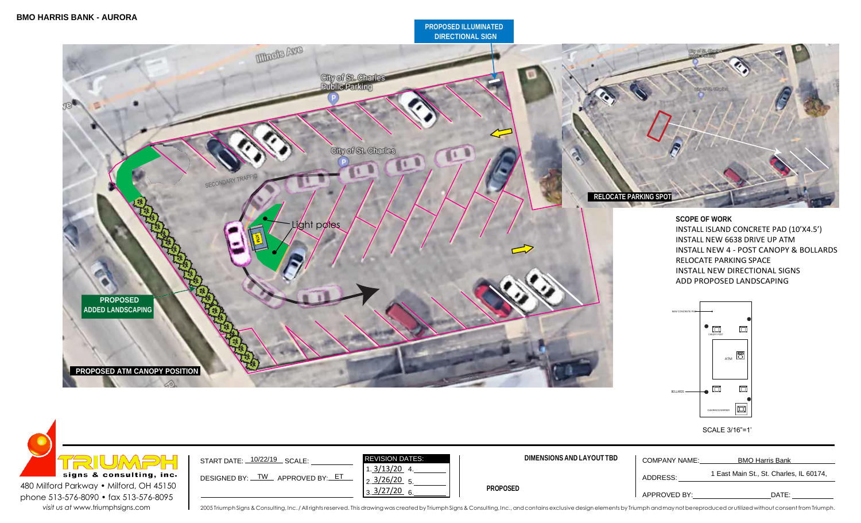## **PROPOSED ILLUMINATED DIRECTIONAL SIGN**





visit us at [www.triumphsigns.com](http://www.triumphsigns.com/) and and the consulting, Inc./All rights reserved. This drawing was created by Triumph Signs & Consulting, Inc., and contains exclusive design elements by Triumph and may not be reproduced o

CLEARANCE BARRIER

 $\Box$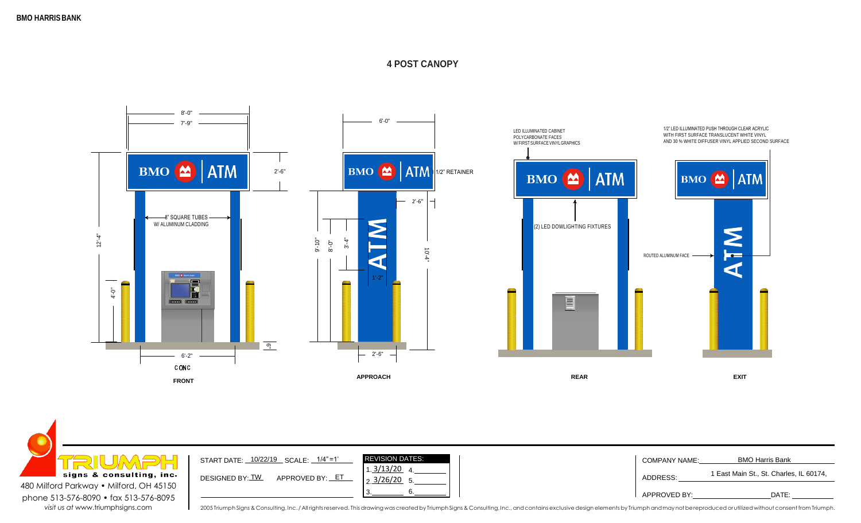## **4 POST CANOPY**





2005 Triumph Signs & Consulting, Inc./All rights reserved. This drawing was created by Triumph Signs & Consulting, Inc., and contains exclusive design elements by Triumph and may not be reproduced or utilized without conse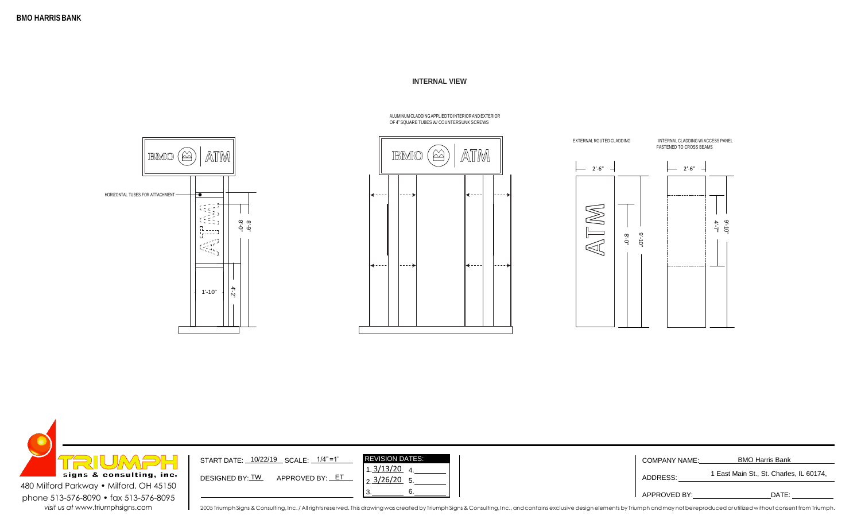◢

## **INTERNAL VIEW**







| <b>EIUMBE</b><br>signs & consulting, inc. | START DATE: 10/22/19 SCALE: 1/4"=1'  | <b>REVISION DATES:</b><br>.3/13/20_4                                                                                                                                                                                           | <b>COMPANY NAME:</b> | <b>BMO Harris Bank</b><br>1 East Main St., St. Charles, IL 60174, |
|-------------------------------------------|--------------------------------------|--------------------------------------------------------------------------------------------------------------------------------------------------------------------------------------------------------------------------------|----------------------|-------------------------------------------------------------------|
| 480 Milford Parkway . Milford, OH 45150   | APPROVED BY: _ET_<br>DESIGNED BY: TW | $\frac{3/26/20}{5}$ 5.                                                                                                                                                                                                         | ADDRESS:             |                                                                   |
| phone 513-576-8090 • fax 513-576-8095     |                                      |                                                                                                                                                                                                                                | APPROVED BY:         | DATE:                                                             |
| visit us at www.triumphsigns.com          |                                      | 2005 Triumph Signs & Consulting, Inc./All rights reserved. This drawing was created by Triumph Signs & Consulting, Inc., and contains exclusive design elements by Triumph and may not be reproduced or utilized without conse |                      |                                                                   |

ALUMINUMCLADDINGAPPLIEDTOINTERIORAND EXTERIOR OF 4" SQUARE TUBES W/ COUNTERSUNK SCREWS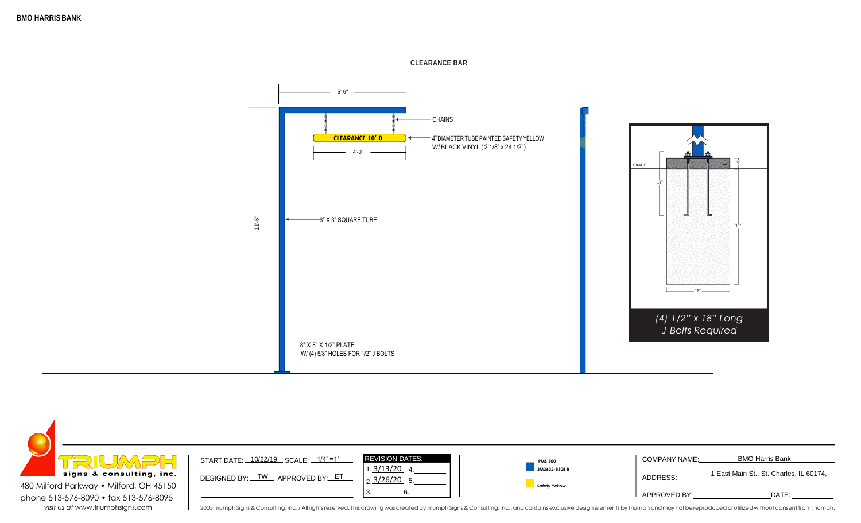



**CLEARANCE BAR**